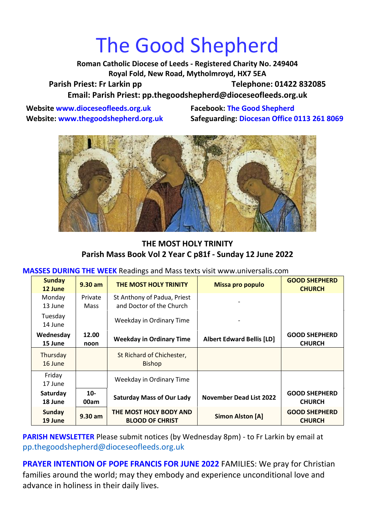## The Good Shepherd

**Roman Catholic Diocese of Leeds - Registered Charity No. 249404 Royal Fold, New Road, Mytholmroyd, HX7 5EA** Parish Priest: Fr Larkin pp Telephone: 01422 832085 **Email: Parish Priest: [pp.thegoodshepherd@dioceseofleeds.org.uk](http://Name:%C2%A0pp.thegoodshepherd@dioceseofleeds.org.uk/)**

**Website www.dioceseofleeds.org.uk Facebook: The Good Shepherd**

**Website: www.thegoodshepherd.org.uk Safeguarding: Diocesan Office 0113 261 8069**



## **THE MOST HOLY TRINITY Parish Mass Book Vol 2 Year C p81f - Sunday 12 June 2022**

**MASSES DURING THE WEEK** Readings and Mass texts visit www.universalis.com

| <b>Sunday</b><br>12 June | $9.30$ am              | THE MOST HOLY TRINITY                                   | Missa pro populo                 | <b>GOOD SHEPHERD</b><br><b>CHURCH</b> |
|--------------------------|------------------------|---------------------------------------------------------|----------------------------------|---------------------------------------|
| Monday<br>13 June        | Private<br><b>Mass</b> | St Anthony of Padua, Priest<br>and Doctor of the Church |                                  |                                       |
| Tuesday<br>14 June       |                        | Weekday in Ordinary Time                                |                                  |                                       |
| Wednesday<br>15 June     | 12.00<br>noon          | <b>Weekday in Ordinary Time</b>                         | <b>Albert Edward Bellis [LD]</b> | <b>GOOD SHEPHERD</b><br><b>CHURCH</b> |
| Thursday<br>16 June      |                        | St Richard of Chichester,<br><b>Bishop</b>              |                                  |                                       |
| Friday<br>17 June        |                        | Weekday in Ordinary Time                                |                                  |                                       |
| Saturday<br>18 June      | $10-$<br>00am          | <b>Saturday Mass of Our Lady</b>                        | <b>November Dead List 2022</b>   | <b>GOOD SHEPHERD</b><br><b>CHURCH</b> |
| <b>Sunday</b><br>19 June | $9.30$ am              | THE MOST HOLY BODY AND<br><b>BLOOD OF CHRIST</b>        | Simon Alston [A]                 | <b>GOOD SHEPHERD</b><br><b>CHURCH</b> |

**PARISH NEWSLETTER** Please submit notices (by Wednesday 8pm) - to Fr Larkin by email at pp.thegoodshepherd@dioceseofleeds.org.uk

**PRAYER INTENTION OF POPE FRANCIS FOR JUNE 2022** FAMILIES: We pray for Christian families around the world; may they embody and experience unconditional love and advance in holiness in their daily lives.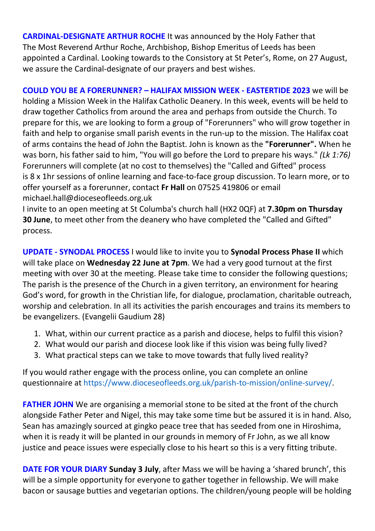**CARDINAL-DESIGNATE ARTHUR ROCHE** It was announced by the Holy Father that The Most Reverend Arthur Roche, Archbishop, Bishop Emeritus of Leeds has been appointed a Cardinal. Looking towards to the Consistory at St Peter's, Rome, on 27 August, we assure the Cardinal-designate of our prayers and best wishes.

**COULD YOU BE A FORERUNNER? – HALIFAX MISSION WEEK - EASTERTIDE 2023** we will be holding a Mission Week in the Halifax Catholic Deanery. In this week, events will be held to draw together Catholics from around the area and perhaps from outside the Church. To prepare for this, we are looking to form a group of "Forerunners" who will grow together in faith and help to organise small parish events in the run-up to the mission. The Halifax coat of arms contains the head of John the Baptist. John is known as the **"Forerunner".** When he was born, his father said to him, "You will go before the Lord to prepare his ways." *(Lk 1:76)* Forerunners will complete (at no cost to themselves) the "Called and Gifted" process is 8 x 1hr sessions of online learning and face-to-face group discussion. To learn more, or to offer yourself as a forerunner, contact **Fr Hall** on 07525 419806 or email michael.hall@dioceseofleeds.org.uk

I invite to an open meeting at St Columba's church hall (HX2 0QF) at **7.30pm on Thursday 30 June**, to meet other from the deanery who have completed the "Called and Gifted" process.

**UPDATE - SYNODAL PROCESS** I would like to invite you to **Synodal Process Phase II** which will take place on **Wednesday 22 June at 7pm**. We had a very good turnout at the first meeting with over 30 at the meeting. Please take time to consider the following questions; The parish is the presence of the Church in a given territory, an environment for hearing God's word, for growth in the Christian life, for dialogue, proclamation, charitable outreach, worship and celebration. In all its activities the parish encourages and trains its members to be evangelizers. (Evangelii Gaudium 28)

- 1. What, within our current practice as a parish and diocese, helps to fulfil this vision?
- 2. What would our parish and diocese look like if this vision was being fully lived?
- 3. What practical steps can we take to move towards that fully lived reality?

If you would rather engage with the process online, you can complete an online questionnaire at [https://www.dioceseofleeds.org.uk/parish-to-mission/online-survey/.](https://www.dioceseofleeds.org.uk/parish-to-mission/online-survey/)

**FATHER JOHN** We are organising a memorial stone to be sited at the front of the church alongside Father Peter and Nigel, this may take some time but be assured it is in hand. Also, Sean has amazingly sourced at gingko peace tree that has seeded from one in Hiroshima, when it is ready it will be planted in our grounds in memory of Fr John, as we all know justice and peace issues were especially close to his heart so this is a very fitting tribute.

**DATE FOR YOUR DIARY Sunday 3 July**, after Mass we will be having a 'shared brunch', this will be a simple opportunity for everyone to gather together in fellowship. We will make bacon or sausage butties and vegetarian options. The children/young people will be holding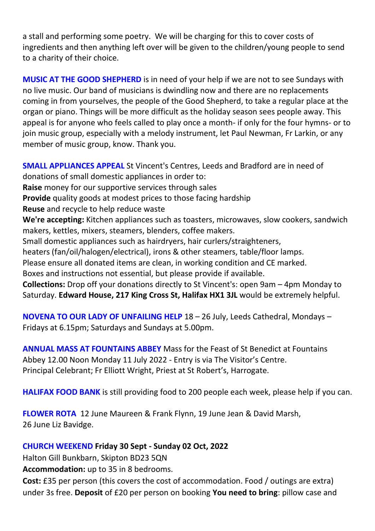a stall and performing some poetry. We will be charging for this to cover costs of ingredients and then anything left over will be given to the children/young people to send to a charity of their choice.

**MUSIC AT THE GOOD SHEPHERD** is in need of your help if we are not to see Sundays with no live music. Our band of musicians is dwindling now and there are no replacements coming in from yourselves, the people of the Good Shepherd, to take a regular place at the organ or piano. Things will be more difficult as the holiday season sees people away. This appeal is for anyone who feels called to play once a month- if only for the four hymns- or to join music group, especially with a melody instrument, let Paul Newman, Fr Larkin, or any member of music group, know. Thank you.

**SMALL APPLIANCES APPEAL** St Vincent's Centres, Leeds and Bradford are in need of donations of small domestic appliances in order to: **Raise** money for our supportive services through sales **Provide** quality goods at modest prices to those facing hardship **Reuse** and recycle to help reduce waste **We're accepting:** Kitchen appliances such as toasters, microwaves, slow cookers, sandwich makers, kettles, mixers, steamers, blenders, coffee makers. Small domestic appliances such as hairdryers, hair curlers/straighteners, heaters (fan/oil/halogen/electrical), irons & other steamers, table/floor lamps. Please ensure all donated items are clean, in working condition and CE marked. Boxes and instructions not essential, but please provide if available. **Collections:** Drop off your donations directly to St Vincent's: open 9am – 4pm Monday to Saturday. **Edward House, 217 King Cross St, Halifax HX1 3JL** would be extremely helpful.

**NOVENA TO OUR LADY OF UNFAILING HELP** 18 – 26 July, Leeds Cathedral, Mondays – Fridays at 6.15pm; Saturdays and Sundays at 5.00pm.

**ANNUAL MASS AT FOUNTAINS ABBEY** Mass for the Feast of St Benedict at Fountains Abbey 12.00 Noon Monday 11 July 2022 - Entry is via The Visitor's Centre. Principal Celebrant; Fr Elliott Wright, Priest at St Robert's, Harrogate.

**HALIFAX FOOD BANK** is still providing food to 200 people each week, please help if you can.

**FLOWER ROTA** 12 June Maureen & Frank Flynn, 19 June Jean & David Marsh, 26 June Liz Bavidge.

## **CHURCH WEEKEND Friday 30 Sept - Sunday 02 Oct, 2022**

Halton Gill Bunkbarn, Skipton BD23 5QN

**Accommodation:** up to 35 in 8 bedrooms.

**Cost:** £35 per person (this covers the cost of accommodation. Food / outings are extra) under 3s free. **Deposit** of £20 per person on booking **You need to bring**: pillow case and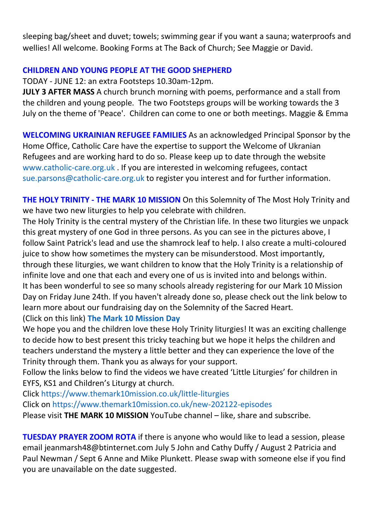sleeping bag/sheet and duvet; towels; swimming gear if you want a sauna; waterproofs and wellies! All welcome. Booking Forms at The Back of Church; See Maggie or David.

## **CHILDREN AND YOUNG PEOPLE AT THE GOOD SHEPHERD**

TODAY - JUNE 12: an extra Footsteps 10.30am-12pm.

**JULY 3 AFTER MASS** A church brunch morning with poems, performance and a stall from the children and young people. The two Footsteps groups will be working towards the 3 July on the theme of 'Peace'. Children can come to one or both meetings. Maggie & Emma

**WELCOMING UKRAINIAN REFUGEE FAMILIES** As an acknowledged Principal Sponsor by the Home Office, Catholic Care have the expertise to support the Welcome of Ukranian Refugees and are working hard to do so. Please keep up to date through the website [www.catholic-care.org.uk](http://www.catholic-care.org.uk/) . If you are interested in welcoming refugees, contact [sue.parsons@catholic-care.org.uk](mailto:sue.parsons@catholic-care.org.uk) to register you interest and for further information.

**THE HOLY TRINITY - THE MARK 10 MISSION** On this Solemnity of The Most Holy Trinity and we have two new liturgies to help you celebrate with children.

The Holy Trinity is the central mystery of the Christian life. In these two liturgies we unpack this great mystery of one God in three persons. As you can see in the pictures above, I follow Saint Patrick's lead and use the shamrock leaf to help. I also create a multi-coloured juice to show how sometimes the mystery can be misunderstood. Most importantly, through these liturgies, we want children to know that the Holy Trinity is a relationship of infinite love and one that each and every one of us is invited into and belongs within. It has been wonderful to see so many schools already registering for our Mark 10 Mission Day on Friday June 24th. If you haven't already done so, please check out the link below to learn more about our fundraising day on the Solemnity of the Sacred Heart. (Click on this link) **[The Mark 10 Mission Day](https://www.themark10mission.co.uk/the-mark-10-mission-day)**

We hope you and the children love these Holy Trinity liturgies! It was an exciting challenge to decide how to best present this tricky teaching but we hope it helps the children and teachers understand the mystery a little better and they can experience the love of the Trinity through them. Thank you as always for your support.

Follow the links below to find the videos we have created 'Little Liturgies' for children in EYFS, KS1 and Children's Liturgy at church.

Click <https://www.themark10mission.co.uk/little-liturgies> Click on <https://www.themark10mission.co.uk/new-202122-episodes> Please visit **THE MARK 10 MISSION** YouTube channel – like, share and subscribe.

**TUESDAY PRAYER ZOOM ROTA** if there is anyone who would like to lead a session, please email jeanmarsh48@btinternet.com July 5 John and Cathy Duffy / August 2 Patricia and Paul Newman / Sept 6 Anne and Mike Plunkett. Please swap with someone else if you find you are unavailable on the date suggested.